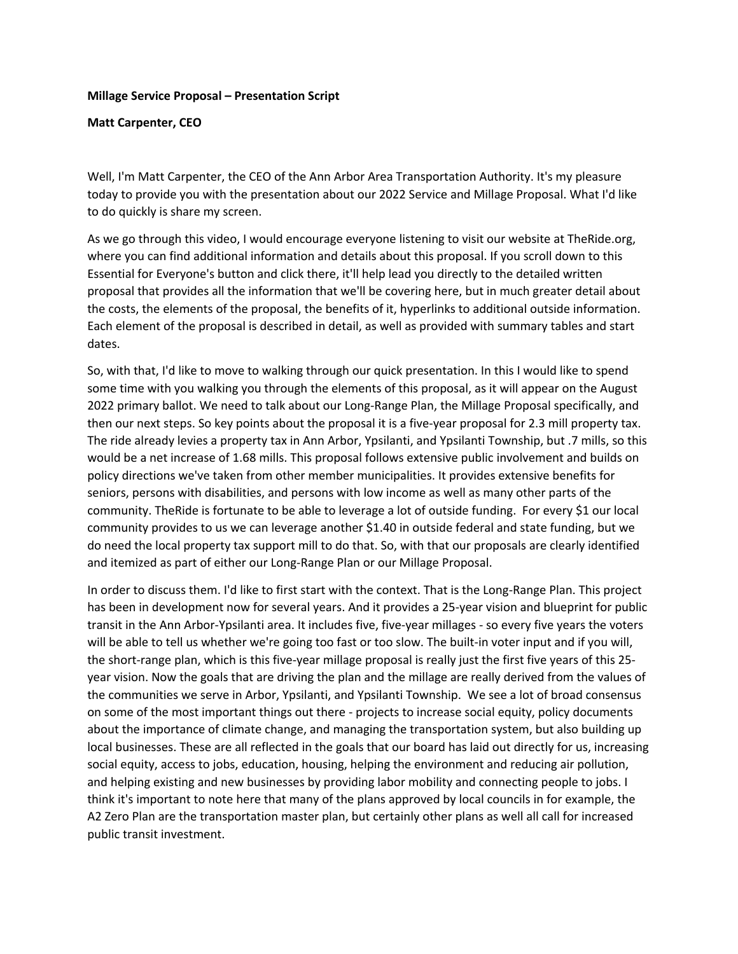## **Millage Service Proposal – Presentation Script**

**Matt Carpenter, CEO** 

Well, I'm Matt Carpenter, the CEO of the Ann Arbor Area Transportation Authority. It's my pleasure today to provide you with the presentation about our 2022 Service and Millage Proposal. What I'd like to do quickly is share my screen.

As we go through this video, I would encourage everyone listening to visit our website at TheRide.org, where you can find additional information and details about this proposal. If you scroll down to this Essential for Everyone's button and click there, it'll help lead you directly to the detailed written proposal that provides all the information that we'll be covering here, but in much greater detail about the costs, the elements of the proposal, the benefits of it, hyperlinks to additional outside information. Each element of the proposal is described in detail, as well as provided with summary tables and start dates.

So, with that, I'd like to move to walking through our quick presentation. In this I would like to spend some time with you walking you through the elements of this proposal, as it will appear on the August 2022 primary ballot. We need to talk about our Long-Range Plan, the Millage Proposal specifically, and then our next steps. So key points about the proposal it is a five-year proposal for 2.3 mill property tax. The ride already levies a property tax in Ann Arbor, Ypsilanti, and Ypsilanti Township, but .7 mills, so this would be a net increase of 1.68 mills. This proposal follows extensive public involvement and builds on policy directions we've taken from other member municipalities. It provides extensive benefits for seniors, persons with disabilities, and persons with low income as well as many other parts of the community. TheRide is fortunate to be able to leverage a lot of outside funding. For every \$1 our local community provides to us we can leverage another \$1.40 in outside federal and state funding, but we do need the local property tax support mill to do that. So, with that our proposals are clearly identified and itemized as part of either our Long-Range Plan or our Millage Proposal.

In order to discuss them. I'd like to first start with the context. That is the Long-Range Plan. This project has been in development now for several years. And it provides a 25-year vision and blueprint for public transit in the Ann Arbor-Ypsilanti area. It includes five, five-year millages - so every five years the voters will be able to tell us whether we're going too fast or too slow. The built-in voter input and if you will, the short-range plan, which is this five-year millage proposal is really just the first five years of this 25 year vision. Now the goals that are driving the plan and the millage are really derived from the values of the communities we serve in Arbor, Ypsilanti, and Ypsilanti Township. We see a lot of broad consensus on some of the most important things out there - projects to increase social equity, policy documents about the importance of climate change, and managing the transportation system, but also building up local businesses. These are all reflected in the goals that our board has laid out directly for us, increasing social equity, access to jobs, education, housing, helping the environment and reducing air pollution, and helping existing and new businesses by providing labor mobility and connecting people to jobs. I think it's important to note here that many of the plans approved by local councils in for example, the A2 Zero Plan are the transportation master plan, but certainly other plans as well all call for increased public transit investment.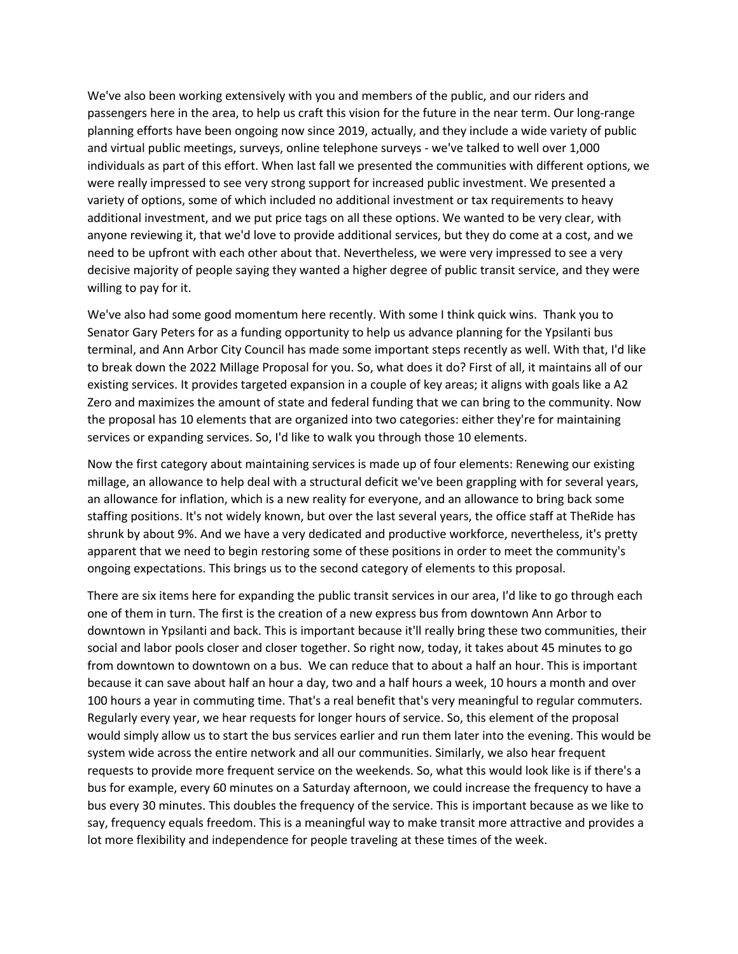We've also been working extensively with you and members of the public, and our riders and passengers here in the area, to help us craft this vision for the future in the near term. Our long-range planning efforts have been ongoing now since 2019, actually, and they include a wide variety of public and virtual public meetings, surveys, online telephone surveys - we've talked to well over 1,000 individuals as part of this effort. When last fall we presented the communities with different options, we were really impressed to see very strong support for increased public investment. We presented a variety of options, some of which included no additional investment or tax requirements to heavy additional investment, and we put price tags on all these options. We wanted to be very clear, with anyone reviewing it, that we'd love to provide additional services, but they do come at a cost, and we need to be upfront with each other about that. Nevertheless, we were very impressed to see a very decisive majority of people saying they wanted a higher degree of public transit service, and they were willing to pay for it.

We've also had some good momentum here recently. With some I think quick wins. Thank you to Senator Gary Peters for as a funding opportunity to help us advance planning for the Ypsilanti bus terminal, and Ann Arbor City Council has made some important steps recently as well. With that, I'd like to break down the 2022 Millage Proposal for you. So, what does it do? First of all, it maintains all of our existing services. It provides targeted expansion in a couple of key areas; it aligns with goals like a A2 Zero and maximizes the amount of state and federal funding that we can bring to the community. Now the proposal has 10 elements that are organized into two categories: either they're for maintaining services or expanding services. So, I'd like to walk you through those 10 elements.

Now the first category about maintaining services is made up of four elements: Renewing our existing millage, an allowance to help deal with a structural deficit we've been grappling with for several years, an allowance for inflation, which is a new reality for everyone, and an allowance to bring back some staffing positions. It's not widely known, but over the last several years, the office staff at TheRide has shrunk by about 9%. And we have a very dedicated and productive workforce, nevertheless, it's pretty apparent that we need to begin restoring some of these positions in order to meet the community's ongoing expectations. This brings us to the second category of elements to this proposal.

There are six items here for expanding the public transit services in our area, I'd like to go through each one of them in turn. The first is the creation of a new express bus from downtown Ann Arbor to downtown in Ypsilanti and back. This is important because it'll really bring these two communities, their social and labor pools closer and closer together. So right now, today, it takes about 45 minutes to go from downtown to downtown on a bus. We can reduce that to about a half an hour. This is important because it can save about half an hour a day, two and a half hours a week, 10 hours a month and over 100 hours a year in commuting time. That's a real benefit that's very meaningful to regular commuters. Regularly every year, we hear requests for longer hours of service. So, this element of the proposal would simply allow us to start the bus services earlier and run them later into the evening. This would be system wide across the entire network and all our communities. Similarly, we also hear frequent requests to provide more frequent service on the weekends. So, what this would look like is if there's a bus for example, every 60 minutes on a Saturday afternoon, we could increase the frequency to have a bus every 30 minutes. This doubles the frequency of the service. This is important because as we like to say, frequency equals freedom. This is a meaningful way to make transit more attractive and provides a lot more flexibility and independence for people traveling at these times of the week.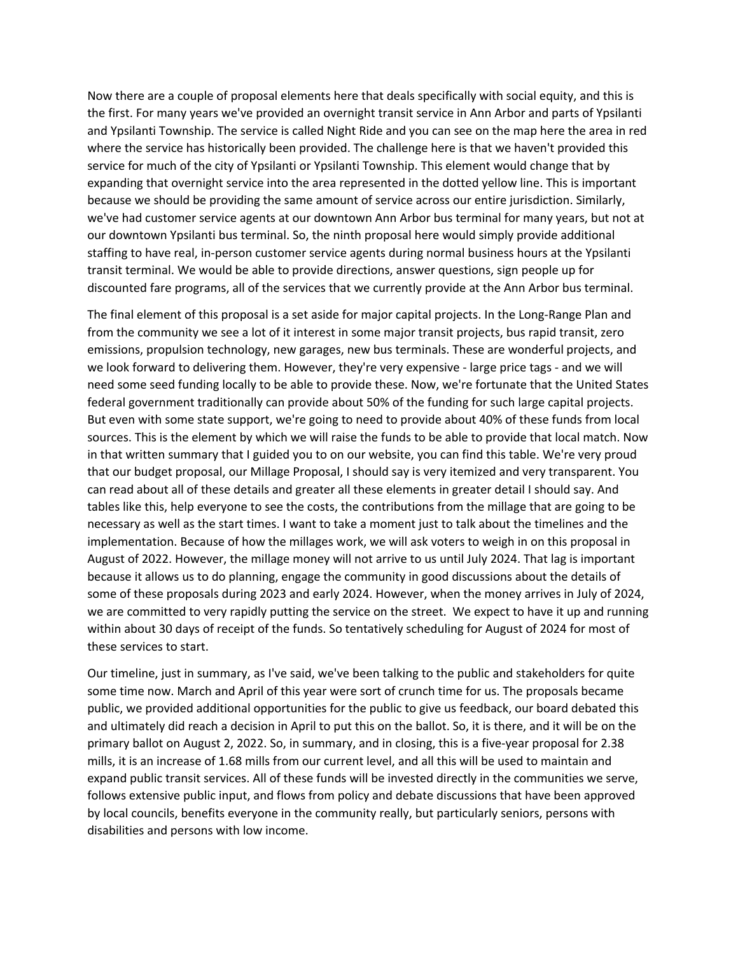Now there are a couple of proposal elements here that deals specifically with social equity, and this is the first. For many years we've provided an overnight transit service in Ann Arbor and parts of Ypsilanti and Ypsilanti Township. The service is called Night Ride and you can see on the map here the area in red where the service has historically been provided. The challenge here is that we haven't provided this service for much of the city of Ypsilanti or Ypsilanti Township. This element would change that by expanding that overnight service into the area represented in the dotted yellow line. This is important because we should be providing the same amount of service across our entire jurisdiction. Similarly, we've had customer service agents at our downtown Ann Arbor bus terminal for many years, but not at our downtown Ypsilanti bus terminal. So, the ninth proposal here would simply provide additional staffing to have real, in-person customer service agents during normal business hours at the Ypsilanti transit terminal. We would be able to provide directions, answer questions, sign people up for discounted fare programs, all of the services that we currently provide at the Ann Arbor bus terminal.

The final element of this proposal is a set aside for major capital projects. In the Long-Range Plan and from the community we see a lot of it interest in some major transit projects, bus rapid transit, zero emissions, propulsion technology, new garages, new bus terminals. These are wonderful projects, and we look forward to delivering them. However, they're very expensive - large price tags - and we will need some seed funding locally to be able to provide these. Now, we're fortunate that the United States federal government traditionally can provide about 50% of the funding for such large capital projects. But even with some state support, we're going to need to provide about 40% of these funds from local sources. This is the element by which we will raise the funds to be able to provide that local match. Now in that written summary that I guided you to on our website, you can find this table. We're very proud that our budget proposal, our Millage Proposal, I should say is very itemized and very transparent. You can read about all of these details and greater all these elements in greater detail I should say. And tables like this, help everyone to see the costs, the contributions from the millage that are going to be necessary as well as the start times. I want to take a moment just to talk about the timelines and the implementation. Because of how the millages work, we will ask voters to weigh in on this proposal in August of 2022. However, the millage money will not arrive to us until July 2024. That lag is important because it allows us to do planning, engage the community in good discussions about the details of some of these proposals during 2023 and early 2024. However, when the money arrives in July of 2024, we are committed to very rapidly putting the service on the street. We expect to have it up and running within about 30 days of receipt of the funds. So tentatively scheduling for August of 2024 for most of these services to start.

Our timeline, just in summary, as I've said, we've been talking to the public and stakeholders for quite some time now. March and April of this year were sort of crunch time for us. The proposals became public, we provided additional opportunities for the public to give us feedback, our board debated this and ultimately did reach a decision in April to put this on the ballot. So, it is there, and it will be on the primary ballot on August 2, 2022. So, in summary, and in closing, this is a five-year proposal for 2.38 mills, it is an increase of 1.68 mills from our current level, and all this will be used to maintain and expand public transit services. All of these funds will be invested directly in the communities we serve, follows extensive public input, and flows from policy and debate discussions that have been approved by local councils, benefits everyone in the community really, but particularly seniors, persons with disabilities and persons with low income.